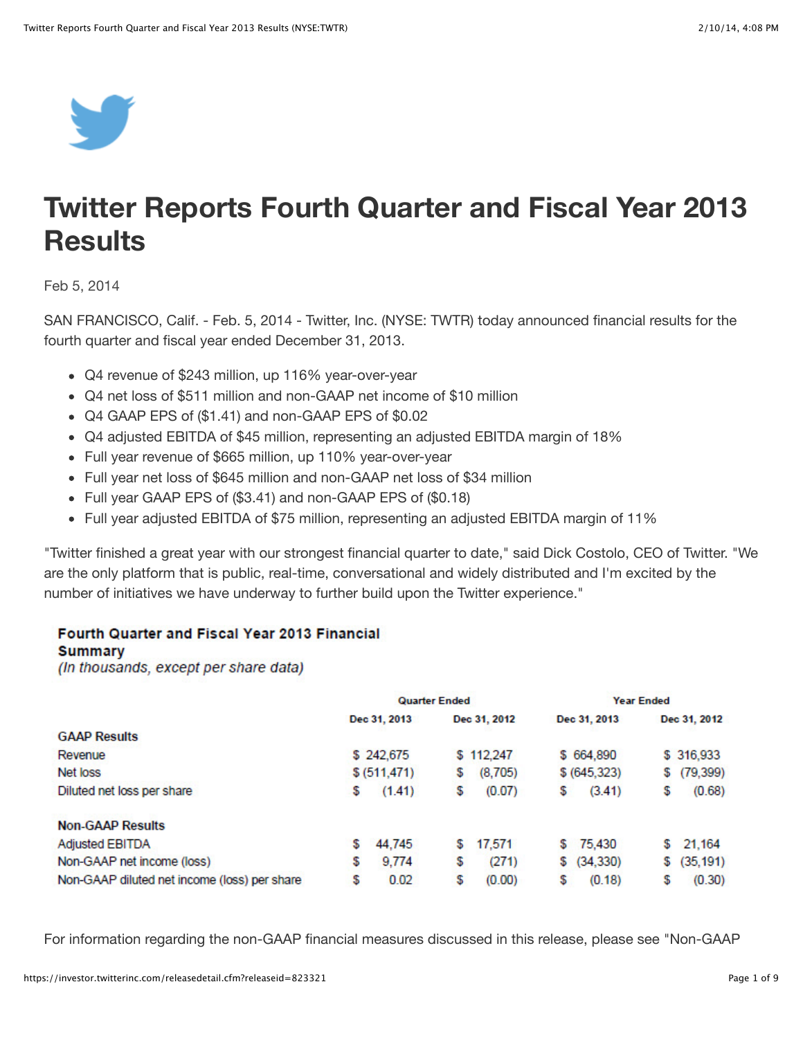

# **Twitter Reports Fourth Quarter and Fiscal Year 2013 Results**

Feb 5, 2014

SAN FRANCISCO, Calif. - Feb. 5, 2014 - Twitter, Inc. (NYSE: TWTR) today announced financial results for the fourth quarter and fiscal year ended December 31, 2013.

- Q4 revenue of \$243 million, up 116% year-over-year
- Q4 net loss of \$511 million and non-GAAP net income of \$10 million
- Q4 GAAP EPS of (\$1.41) and non-GAAP EPS of \$0.02
- Q4 adjusted EBITDA of \$45 million, representing an adjusted EBITDA margin of 18%
- Full year revenue of \$665 million, up 110% year-over-year
- Full year net loss of \$645 million and non-GAAP net loss of \$34 million
- Full year GAAP EPS of (\$3.41) and non-GAAP EPS of (\$0.18)
- Full year adjusted EBITDA of \$75 million, representing an adjusted EBITDA margin of 11%

"Twitter finished a great year with our strongest financial quarter to date," said Dick Costolo, CEO of Twitter. "We are the only platform that is public, real-time, conversational and widely distributed and I'm excited by the number of initiatives we have underway to further build upon the Twitter experience."

#### Fourth Quarter and Fiscal Year 2013 Financial

#### **Summary**

(In thousands, except per share data)

|                                              | <b>Quarter Ended</b> |               |    | <b>Year Ended</b> |    |               |    |              |
|----------------------------------------------|----------------------|---------------|----|-------------------|----|---------------|----|--------------|
|                                              |                      | Dec 31, 2013  |    | Dec 31, 2012      |    | Dec 31, 2013  |    | Dec 31, 2012 |
| <b>GAAP Results</b>                          |                      |               |    |                   |    |               |    |              |
| Revenue                                      |                      | \$242,675     |    | \$112,247         |    | \$664,890     |    | \$316,933    |
| Net loss                                     |                      | \$ (511, 471) | 5  | (8,705)           |    | \$ (645, 323) | S  | (79, 399)    |
| Diluted net loss per share                   | \$                   | (1.41)        | \$ | (0.07)            | \$ | (3.41)        | \$ | (0.68)       |
| <b>Non-GAAP Results</b>                      |                      |               |    |                   |    |               |    |              |
| <b>Adjusted EBITDA</b>                       | \$                   | 44,745        | S  | 17.571            | S  | 75,430        | S  | 21,164       |
| Non-GAAP net income (loss)                   | \$                   | 9.774         | \$ | (271)             | S  | (34, 330)     | S  | (35, 191)    |
| Non-GAAP diluted net income (loss) per share | \$                   | 0.02          | \$ | (0.00)            | \$ | (0.18)        | \$ | (0.30)       |

For information regarding the non-GAAP financial measures discussed in this release, please see "Non-GAAP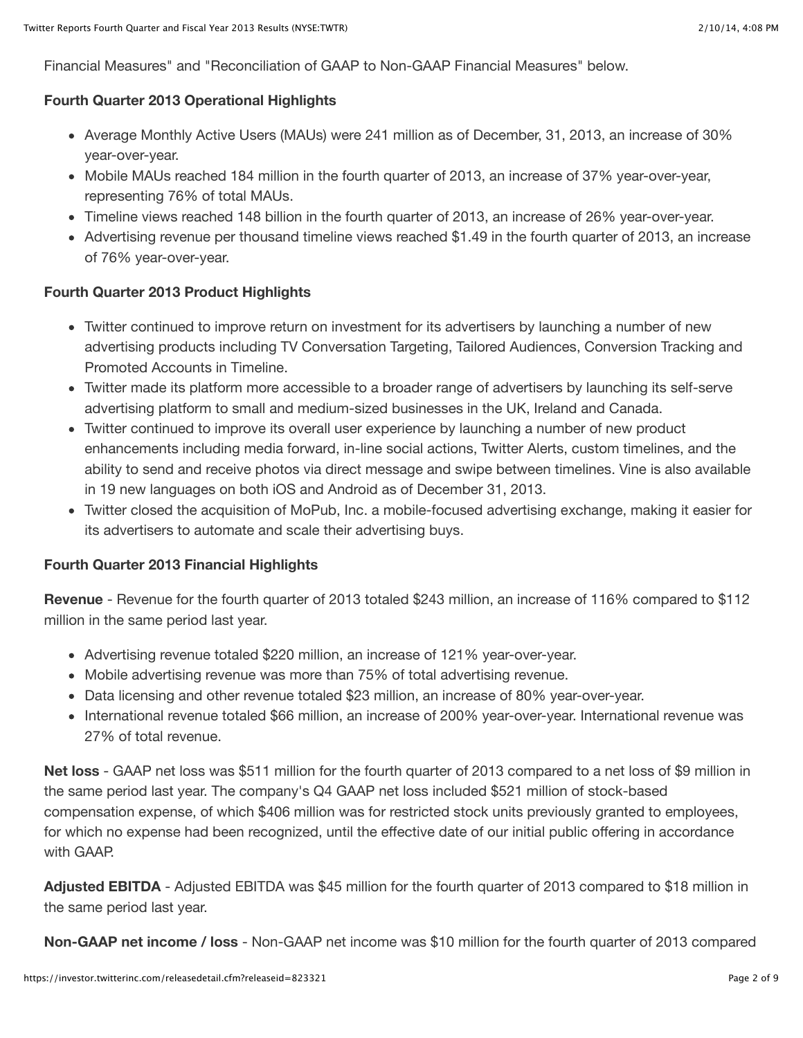Financial Measures" and "Reconciliation of GAAP to Non-GAAP Financial Measures" below.

## **Fourth Quarter 2013 Operational Highlights**

- Average Monthly Active Users (MAUs) were 241 million as of December, 31, 2013, an increase of 30% year-over-year.
- Mobile MAUs reached 184 million in the fourth quarter of 2013, an increase of 37% year-over-year, representing 76% of total MAUs.
- Timeline views reached 148 billion in the fourth quarter of 2013, an increase of 26% year-over-year.
- Advertising revenue per thousand timeline views reached \$1.49 in the fourth quarter of 2013, an increase of 76% year-over-year.

# **Fourth Quarter 2013 Product Highlights**

- Twitter continued to improve return on investment for its advertisers by launching a number of new advertising products including TV Conversation Targeting, Tailored Audiences, Conversion Tracking and Promoted Accounts in Timeline.
- Twitter made its platform more accessible to a broader range of advertisers by launching its self-serve advertising platform to small and medium-sized businesses in the UK, Ireland and Canada.
- Twitter continued to improve its overall user experience by launching a number of new product enhancements including media forward, in-line social actions, Twitter Alerts, custom timelines, and the ability to send and receive photos via direct message and swipe between timelines. Vine is also available in 19 new languages on both iOS and Android as of December 31, 2013.
- Twitter closed the acquisition of MoPub, Inc. a mobile-focused advertising exchange, making it easier for its advertisers to automate and scale their advertising buys.

## **Fourth Quarter 2013 Financial Highlights**

**Revenue** - Revenue for the fourth quarter of 2013 totaled \$243 million, an increase of 116% compared to \$112 million in the same period last year.

- Advertising revenue totaled \$220 million, an increase of 121% year-over-year.
- Mobile advertising revenue was more than 75% of total advertising revenue.
- Data licensing and other revenue totaled \$23 million, an increase of 80% year-over-year.
- International revenue totaled \$66 million, an increase of 200% year-over-year. International revenue was 27% of total revenue.

**Net loss** - GAAP net loss was \$511 million for the fourth quarter of 2013 compared to a net loss of \$9 million in the same period last year. The company's Q4 GAAP net loss included \$521 million of stock-based compensation expense, of which \$406 million was for restricted stock units previously granted to employees, for which no expense had been recognized, until the effective date of our initial public offering in accordance with GAAP.

**Adjusted EBITDA** - Adjusted EBITDA was \$45 million for the fourth quarter of 2013 compared to \$18 million in the same period last year.

**Non-GAAP net income / loss** - Non-GAAP net income was \$10 million for the fourth quarter of 2013 compared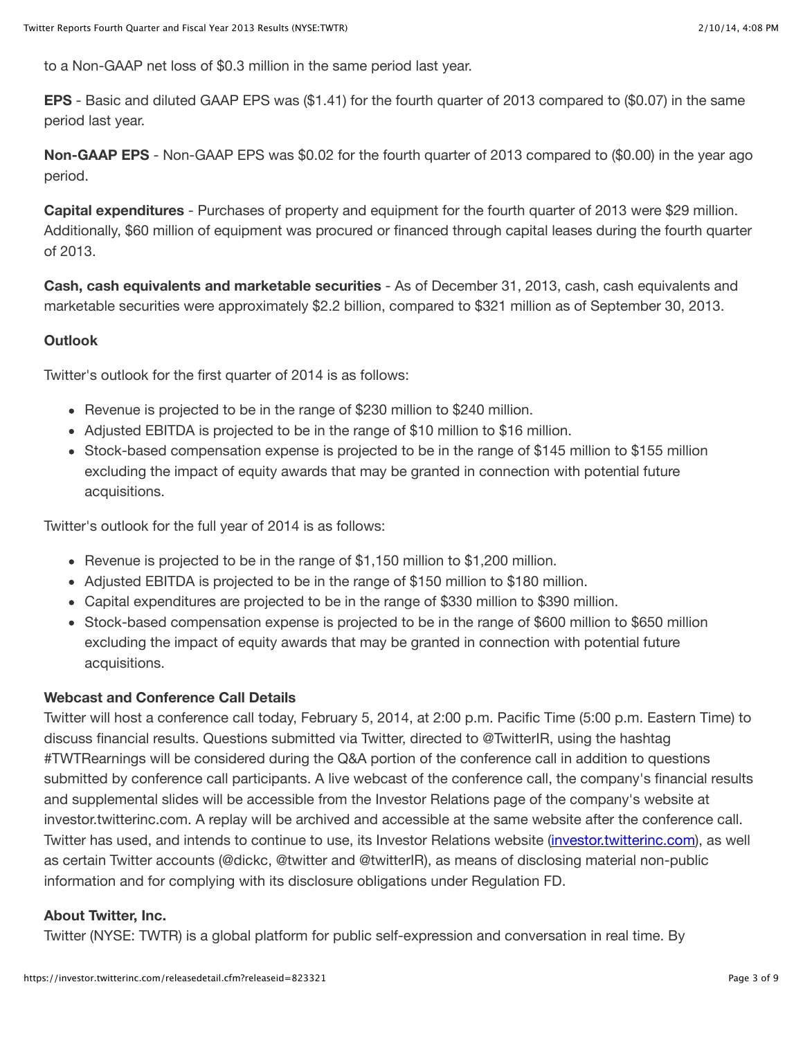to a Non-GAAP net loss of \$0.3 million in the same period last year.

**EPS** - Basic and diluted GAAP EPS was (\$1.41) for the fourth quarter of 2013 compared to (\$0.07) in the same period last year.

**Non-GAAP EPS** - Non-GAAP EPS was \$0.02 for the fourth quarter of 2013 compared to (\$0.00) in the year ago period.

**Capital expenditures** - Purchases of property and equipment for the fourth quarter of 2013 were \$29 million. Additionally, \$60 million of equipment was procured or financed through capital leases during the fourth quarter of 2013.

**Cash, cash equivalents and marketable securities** - As of December 31, 2013, cash, cash equivalents and marketable securities were approximately \$2.2 billion, compared to \$321 million as of September 30, 2013.

## **Outlook**

Twitter's outlook for the first quarter of 2014 is as follows:

- Revenue is projected to be in the range of \$230 million to \$240 million.
- Adjusted EBITDA is projected to be in the range of \$10 million to \$16 million.
- Stock-based compensation expense is projected to be in the range of \$145 million to \$155 million excluding the impact of equity awards that may be granted in connection with potential future acquisitions.

Twitter's outlook for the full year of 2014 is as follows:

- Revenue is projected to be in the range of \$1,150 million to \$1,200 million.
- Adjusted EBITDA is projected to be in the range of \$150 million to \$180 million.
- Capital expenditures are projected to be in the range of \$330 million to \$390 million.
- Stock-based compensation expense is projected to be in the range of \$600 million to \$650 million excluding the impact of equity awards that may be granted in connection with potential future acquisitions.

## **Webcast and Conference Call Details**

Twitter will host a conference call today, February 5, 2014, at 2:00 p.m. Pacific Time (5:00 p.m. Eastern Time) to discuss financial results. Questions submitted via Twitter, directed to @TwitterIR, using the hashtag #TWTRearnings will be considered during the Q&A portion of the conference call in addition to questions submitted by conference call participants. A live webcast of the conference call, the company's financial results and supplemental slides will be accessible from the Investor Relations page of the company's website at investor.twitterinc.com. A replay will be archived and accessible at the same website after the conference call. Twitter has used, and intends to continue to use, its Investor Relations website [\(investor.twitterinc.com](http://investor.twitterinc.com/)), as well as certain Twitter accounts (@dickc, @twitter and @twitterIR), as means of disclosing material non-public information and for complying with its disclosure obligations under Regulation FD.

## **About Twitter, Inc.**

Twitter (NYSE: TWTR) is a global platform for public self-expression and conversation in real time. By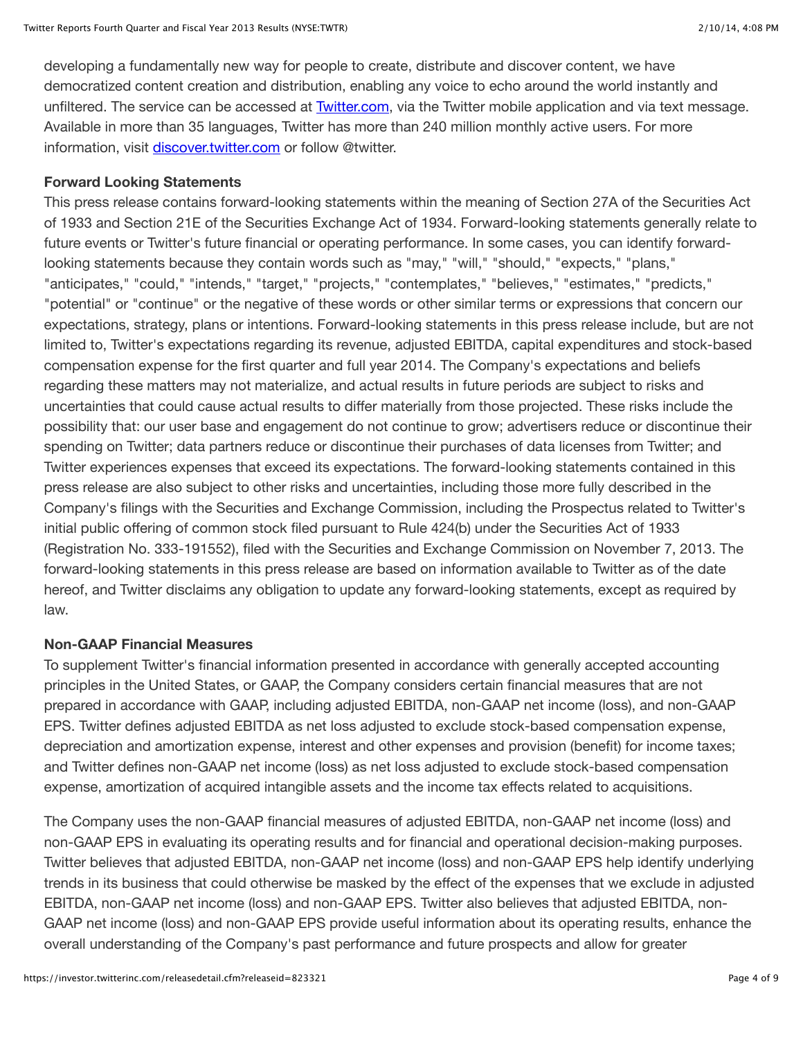developing a fundamentally new way for people to create, distribute and discover content, we have democratized content creation and distribution, enabling any voice to echo around the world instantly and unfiltered. The service can be accessed at **Twitter.com**, via the Twitter mobile application and via text message. Available in more than 35 languages, Twitter has more than 240 million monthly active users. For more information, visit [discover.twitter.com](https://discover.twitter.com/) or follow @twitter.

#### **Forward Looking Statements**

This press release contains forward-looking statements within the meaning of Section 27A of the Securities Act of 1933 and Section 21E of the Securities Exchange Act of 1934. Forward-looking statements generally relate to future events or Twitter's future financial or operating performance. In some cases, you can identify forwardlooking statements because they contain words such as "may," "will," "should," "expects," "plans," "anticipates," "could," "intends," "target," "projects," "contemplates," "believes," "estimates," "predicts," "potential" or "continue" or the negative of these words or other similar terms or expressions that concern our expectations, strategy, plans or intentions. Forward-looking statements in this press release include, but are not limited to, Twitter's expectations regarding its revenue, adjusted EBITDA, capital expenditures and stock-based compensation expense for the first quarter and full year 2014. The Company's expectations and beliefs regarding these matters may not materialize, and actual results in future periods are subject to risks and uncertainties that could cause actual results to differ materially from those projected. These risks include the possibility that: our user base and engagement do not continue to grow; advertisers reduce or discontinue their spending on Twitter; data partners reduce or discontinue their purchases of data licenses from Twitter; and Twitter experiences expenses that exceed its expectations. The forward-looking statements contained in this press release are also subject to other risks and uncertainties, including those more fully described in the Company's filings with the Securities and Exchange Commission, including the Prospectus related to Twitter's initial public offering of common stock filed pursuant to Rule 424(b) under the Securities Act of 1933 (Registration No. 333-191552), filed with the Securities and Exchange Commission on November 7, 2013. The forward-looking statements in this press release are based on information available to Twitter as of the date hereof, and Twitter disclaims any obligation to update any forward-looking statements, except as required by law.

## **Non-GAAP Financial Measures**

To supplement Twitter's financial information presented in accordance with generally accepted accounting principles in the United States, or GAAP, the Company considers certain financial measures that are not prepared in accordance with GAAP, including adjusted EBITDA, non-GAAP net income (loss), and non-GAAP EPS. Twitter defines adjusted EBITDA as net loss adjusted to exclude stock-based compensation expense, depreciation and amortization expense, interest and other expenses and provision (benefit) for income taxes; and Twitter defines non-GAAP net income (loss) as net loss adjusted to exclude stock-based compensation expense, amortization of acquired intangible assets and the income tax effects related to acquisitions.

The Company uses the non-GAAP financial measures of adjusted EBITDA, non-GAAP net income (loss) and non-GAAP EPS in evaluating its operating results and for financial and operational decision-making purposes. Twitter believes that adjusted EBITDA, non-GAAP net income (loss) and non-GAAP EPS help identify underlying trends in its business that could otherwise be masked by the effect of the expenses that we exclude in adjusted EBITDA, non-GAAP net income (loss) and non-GAAP EPS. Twitter also believes that adjusted EBITDA, non-GAAP net income (loss) and non-GAAP EPS provide useful information about its operating results, enhance the overall understanding of the Company's past performance and future prospects and allow for greater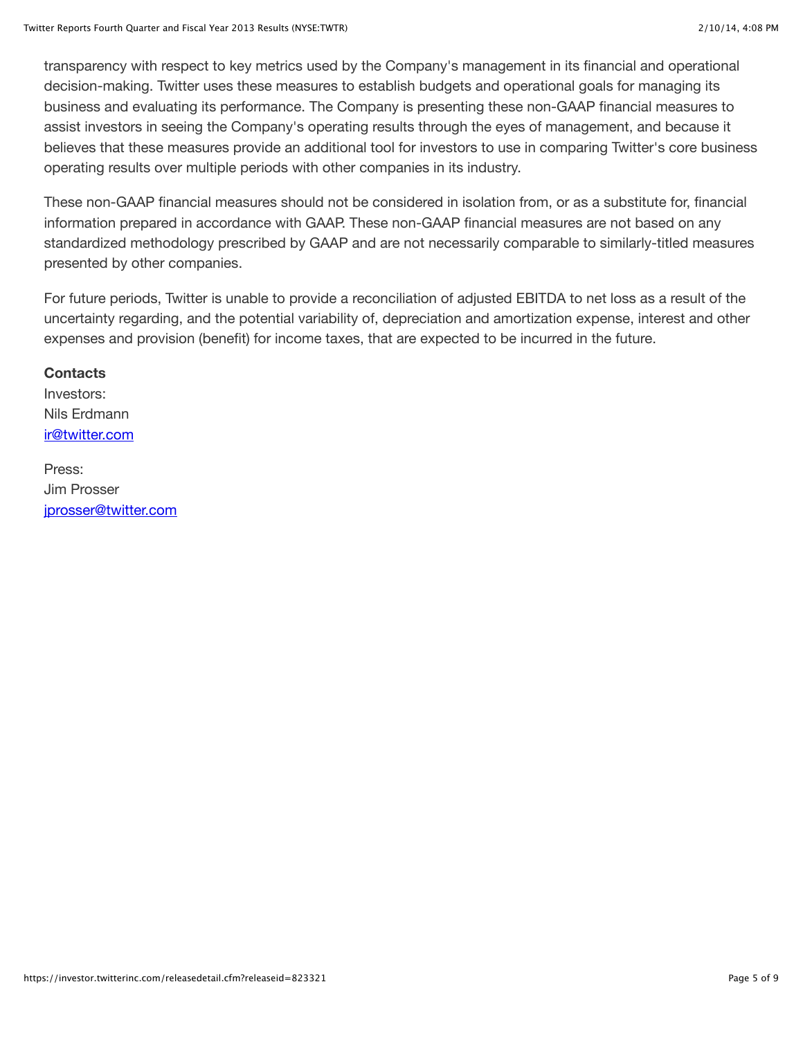transparency with respect to key metrics used by the Company's management in its financial and operational decision-making. Twitter uses these measures to establish budgets and operational goals for managing its business and evaluating its performance. The Company is presenting these non-GAAP financial measures to assist investors in seeing the Company's operating results through the eyes of management, and because it believes that these measures provide an additional tool for investors to use in comparing Twitter's core business operating results over multiple periods with other companies in its industry.

These non-GAAP financial measures should not be considered in isolation from, or as a substitute for, financial information prepared in accordance with GAAP. These non-GAAP financial measures are not based on any standardized methodology prescribed by GAAP and are not necessarily comparable to similarly-titled measures presented by other companies.

For future periods, Twitter is unable to provide a reconciliation of adjusted EBITDA to net loss as a result of the uncertainty regarding, and the potential variability of, depreciation and amortization expense, interest and other expenses and provision (benefit) for income taxes, that are expected to be incurred in the future.

#### **Contacts**

Investors: Nils Erdmann [ir@twitter.com](mailto:ir@twitter.com)

Press: Jim Prosser [jprosser@twitter.com](mailto:jprosser@twitter.com)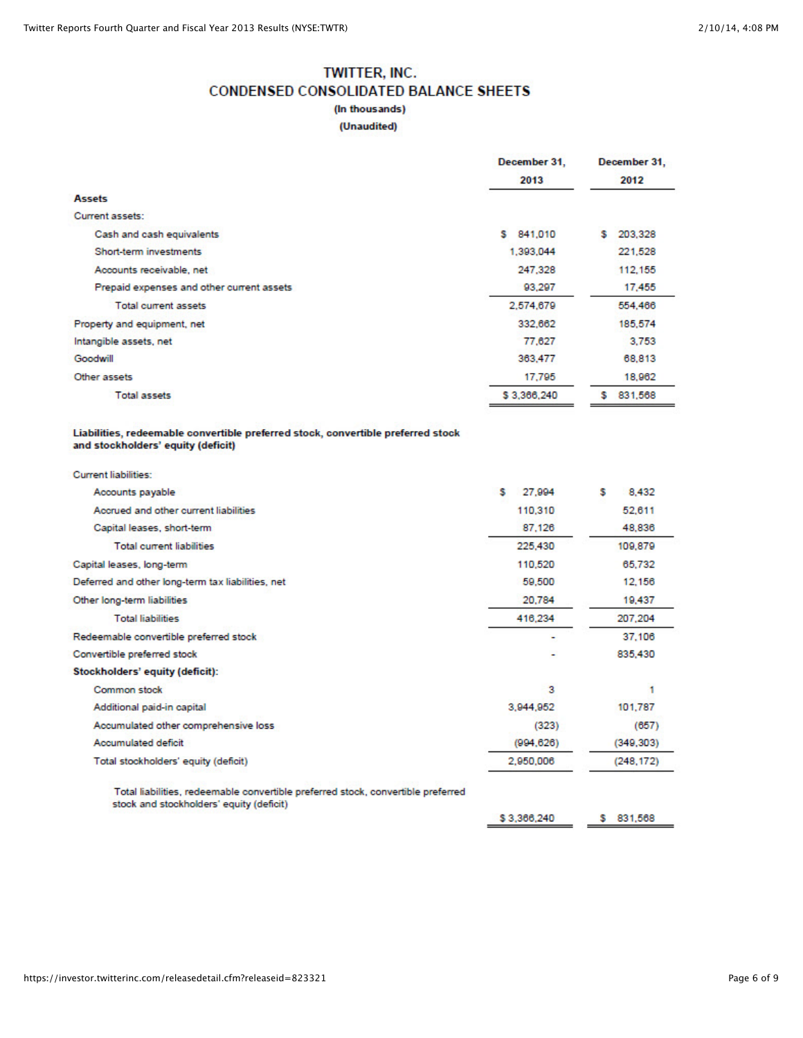# **TWITTER, INC. CONDENSED CONSOLIDATED BALANCE SHEETS** (In thousands)

#### (Unaudited)

|                                                                                  | December 31, | December 31,  |  |  |
|----------------------------------------------------------------------------------|--------------|---------------|--|--|
|                                                                                  | 2013         | 2012          |  |  |
| <b>Assets</b>                                                                    |              |               |  |  |
| Current assets:                                                                  |              |               |  |  |
| Cash and cash equivalents                                                        | \$841,010    | \$203,328     |  |  |
| Short-term investments                                                           | 1.393.044    | 221.528       |  |  |
| Accounts receivable, net                                                         | 247.328      | 112.155       |  |  |
| Prepaid expenses and other current assets                                        | 93.297       | 17,455        |  |  |
| <b>Total current assets</b>                                                      | 2,574,679    | 554,466       |  |  |
| Property and equipment, net                                                      | 332,662      | 185,574       |  |  |
| Intangible assets, net                                                           | 77,627       | 3.753         |  |  |
| Goodwill                                                                         | 363,477      | 68,813        |  |  |
| Other assets                                                                     | 17.795       | 18,962        |  |  |
| <b>Total assets</b>                                                              | \$3,366,240  | 831,568<br>s. |  |  |
| and stockholders' equity (deficit)<br>Current liabilities:                       |              |               |  |  |
| Accounts payable                                                                 | s<br>27,994  | s<br>8.432    |  |  |
| Accrued and other current liabilities                                            | 110,310      | 52.611        |  |  |
| Capital leases, short-term                                                       | 87.126       | 48.836        |  |  |
| <b>Total current liabilities</b>                                                 | 225.430      | 109,879       |  |  |
| Capital leases, long-term                                                        | 110,520      | 65.732        |  |  |
| Deferred and other long-term tax liabilities, net                                | 59,500       | 12.156        |  |  |
| Other long-term liabilities                                                      | 20,784       | 19,437        |  |  |
| <b>Total liabilities</b>                                                         | 416,234      | 207,204       |  |  |
| Redeemable convertible preferred stock                                           |              | 37,106        |  |  |
| Convertible preferred stock                                                      |              | 835,430       |  |  |
| Stockholders' equity (deficit):                                                  |              |               |  |  |
| Common stock                                                                     | 3            | 1             |  |  |
| Additional paid-in capital                                                       | 3,944,952    | 101,787       |  |  |
| Accumulated other comprehensive loss                                             | (323)        | (657)         |  |  |
| <b>Accumulated deficit</b>                                                       | (994, 626)   | (349, 303)    |  |  |
| Total stockholders' equity (deficit)                                             | 2,950,006    | (248, 172)    |  |  |
| Total liabilities, redeemable convertible preferred stock, convertible preferred |              |               |  |  |

stock and stockholders' equity (deficit)

\$3,366,240 \$ 831,568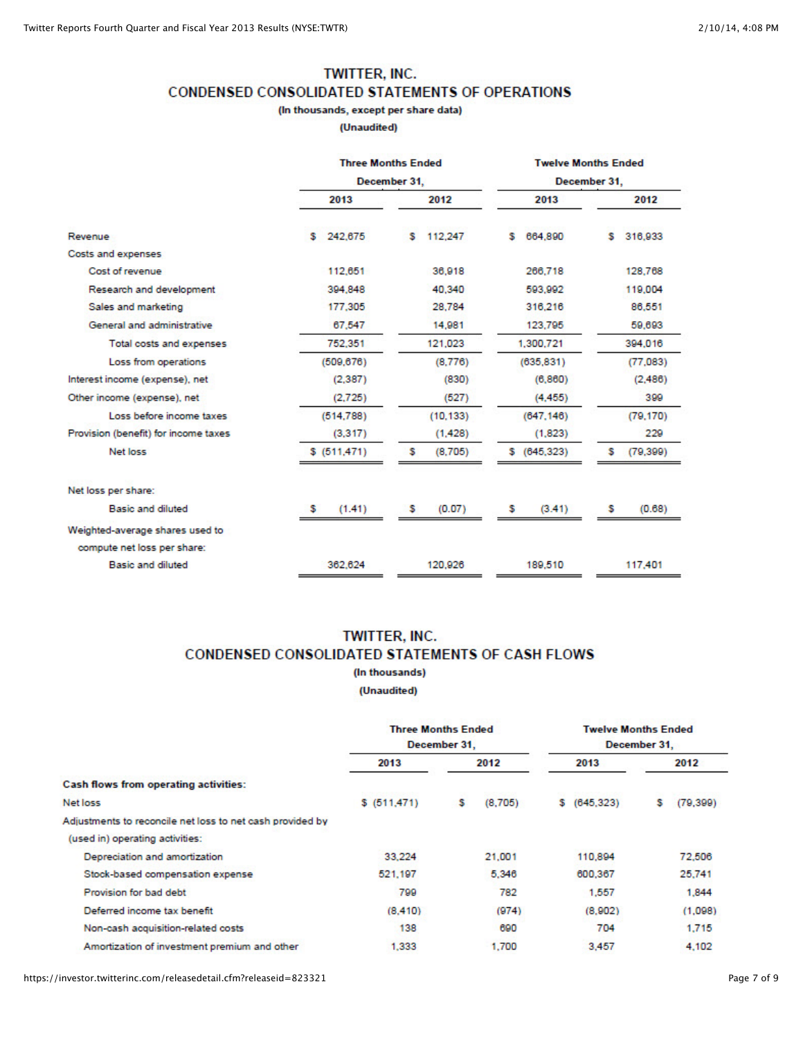#### TWITTER, INC.

CONDENSED CONSOLIDATED STATEMENTS OF OPERATIONS

(In thousands, except per share data)

(Unaudited)

|                                      |               | <b>Three Months Ended</b> | <b>Twelve Months Ended</b> |                |  |  |  |
|--------------------------------------|---------------|---------------------------|----------------------------|----------------|--|--|--|
|                                      |               | December 31.              |                            | December 31.   |  |  |  |
|                                      | 2013          | 2012                      | 2013                       | 2012           |  |  |  |
| Revenue                              | \$242,675     | 112,247<br>s.             | 664,890<br>s.              | 316,933<br>s   |  |  |  |
| Costs and expenses                   |               |                           |                            |                |  |  |  |
| Cost of revenue                      | 112,651       | 36,918                    | 266,718                    | 128,768        |  |  |  |
| Research and development             | 394,848       | 40.340                    | 593.992                    | 119,004        |  |  |  |
| Sales and marketing                  | 177,305       | 28,784                    | 316,216                    | 86,551         |  |  |  |
| General and administrative           | 67.547        | 14,981                    | 123,795                    | 59,693         |  |  |  |
| Total costs and expenses             | 752,351       | 121,023                   | 1,300,721                  | 394,016        |  |  |  |
| Loss from operations                 | (509, 676)    | (8,776)                   | (635, 831)                 | (77,083)       |  |  |  |
| Interest income (expense), net       | (2, 387)      | (830)                     | (6, 860)                   | (2,486)        |  |  |  |
| Other income (expense), net          | (2,725)       | (527)                     | (4, 455)                   | 399            |  |  |  |
| Loss before income taxes             | (514, 788)    | (10, 133)                 | (647, 146)                 | (79, 170)      |  |  |  |
| Provision (benefit) for income taxes | (3,317)       | (1.428)                   | (1,823)                    | 229            |  |  |  |
| Net loss                             | \$ (511, 471) | s<br>(8,705)              | \$ (645, 323)              | s<br>(79, 399) |  |  |  |
| Net loss per share:                  |               |                           |                            |                |  |  |  |
| Basic and diluted                    | (1.41)<br>s.  | (0.07)<br>s               | (3.41)<br>s                | (0.68)<br>s    |  |  |  |
| Weighted-average shares used to      |               |                           |                            |                |  |  |  |
| compute net loss per share:          |               |                           |                            |                |  |  |  |
| Basic and diluted                    | 362.624       | 120,926                   | 189,510                    | 117,401        |  |  |  |

#### TWITTER, INC. CONDENSED CONSOLIDATED STATEMENTS OF CASH FLOWS (In thousands)

(Unaudited)

|                                                           | <b>Three Months Ended</b><br>December 31. |      | <b>Twelve Months Ended</b><br>December 31. |      |              |      |          |
|-----------------------------------------------------------|-------------------------------------------|------|--------------------------------------------|------|--------------|------|----------|
|                                                           | 2013                                      | 2012 |                                            | 2013 |              | 2012 |          |
| <b>Cash flows from operating activities:</b>              |                                           |      |                                            |      |              |      |          |
| Net loss                                                  | \$ (511, 471)                             | s.   | (8,705)                                    |      | \$ (645,323) | s    | (79.399) |
| Adjustments to reconcile net loss to net cash provided by |                                           |      |                                            |      |              |      |          |
| (used in) operating activities:                           |                                           |      |                                            |      |              |      |          |
| Depreciation and amortization                             | 33,224                                    |      | 21.001                                     |      | 110,894      |      | 72,506   |
| Stock-based compensation expense                          | 521.197                                   |      | 5.346                                      |      | 600,367      |      | 25,741   |
| Provision for bad debt                                    | 799                                       |      | 782                                        |      | 1,557        |      | 1,844    |
| Deferred income tax benefit                               | (8, 410)                                  |      | (974)                                      |      | (8,902)      |      | (1,098)  |
| Non-cash acquisition-related costs                        | 138                                       |      | 690                                        |      | 704          |      | 1,715    |
| Amortization of investment premium and other              | 1.333                                     |      | 1.700                                      |      | 3.457        |      | 4.102    |

https://investor.twitterinc.com/releasedetail.cfm?releaseid=823321 Page 7 of 9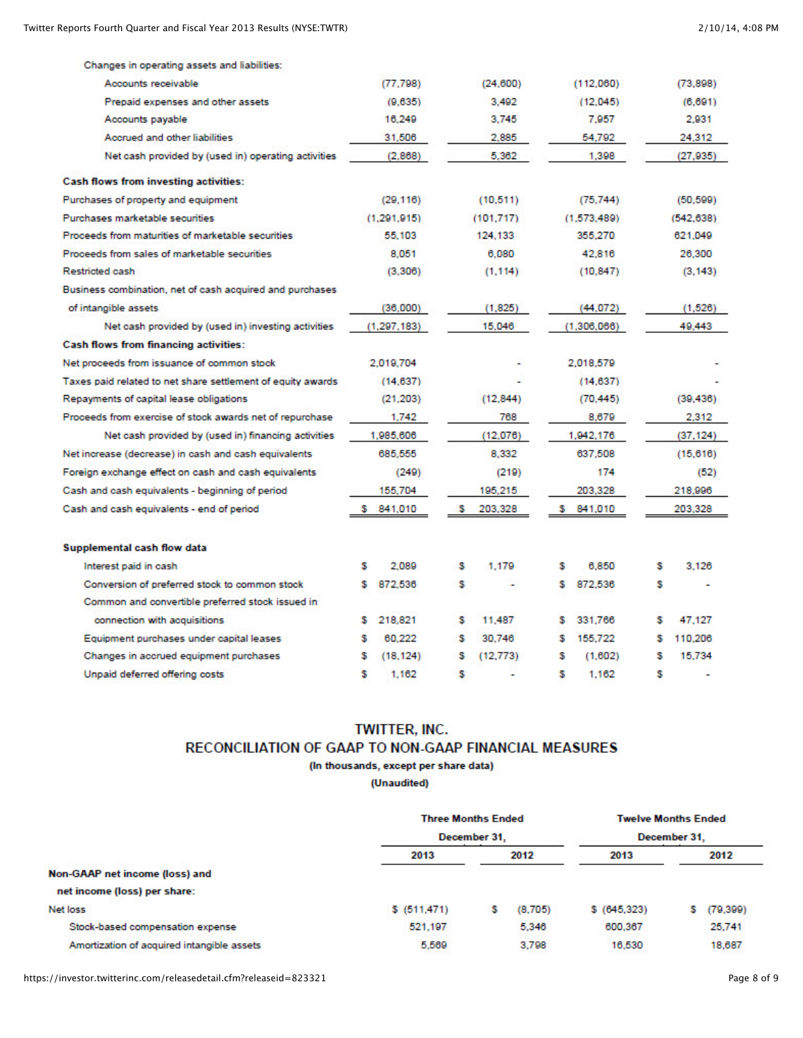| Changes in operating assets and liabilities:                |   |             |   |           |   |             |   |           |
|-------------------------------------------------------------|---|-------------|---|-----------|---|-------------|---|-----------|
| Accounts receivable                                         |   | (77.798)    |   | (24, 600) |   | (112,060)   |   | (73, 898) |
| Prepaid expenses and other assets                           |   | (9.635)     |   | 3.492     |   | (12.045)    |   | (6, 691)  |
| Accounts payable                                            |   | 16,249      |   | 3.745     |   | 7,957       |   | 2,931     |
| Accrued and other liabilities                               |   | 31,506      |   | 2,885     |   | 54.792      |   | 24,312    |
| Net cash provided by (used in) operating activities         |   | (2.868)     |   | 5.362     |   | 1,398       |   | (27.935)  |
| <b>Cash flows from investing activities:</b>                |   |             |   |           |   |             |   |           |
| Purchases of property and equipment                         |   | (29.116)    |   | (10.511)  |   | (75.744)    |   | (50.599)  |
| Purchases marketable securities                             |   | (1.291.915) |   | (101.717) |   | (1.573.489) |   | (542.638) |
| Proceeds from maturities of marketable securities           |   | 55.103      |   | 124.133   |   | 355,270     |   | 621.049   |
| Proceeds from sales of marketable securities                |   | 8.051       |   | 6,080     |   | 42,816      |   | 26,300    |
| Restricted cash                                             |   | (3,306)     |   | (1, 114)  |   | (10.847)    |   | (3, 143)  |
| Business combination, net of cash acquired and purchases    |   |             |   |           |   |             |   |           |
| of intangible assets                                        |   | (36,000)    |   | (1.825)   |   | (44,072)    |   | (1.526)   |
| Net cash provided by (used in) investing activities         |   | (1.297.183) |   | 15,046    |   | (1.306.066) |   | 49,443    |
| <b>Cash flows from financing activities:</b>                |   |             |   |           |   |             |   |           |
| Net proceeds from issuance of common stock                  |   | 2.019.704   |   |           |   | 2.018.579   |   |           |
| Taxes paid related to net share settlement of equity awards |   | (14, 637)   |   |           |   | (14.637)    |   |           |
| Repayments of capital lease obligations                     |   | (21, 203)   |   | (12, 844) |   | (70.445)    |   | (39, 436) |
| Proceeds from exercise of stock awards net of repurchase    |   | 1.742       |   | 768       |   | 8,679       |   | 2.312     |
| Net cash provided by (used in) financing activities         |   | 1,985,606   |   | (12,076)  |   | 1,942,176   |   | (37, 124) |
| Net increase (decrease) in cash and cash equivalents        |   | 685.555     |   | 8.332     |   | 637,508     |   | (15, 616) |
| Foreign exchange effect on cash and cash equivalents        |   | (249)       |   | (219)     |   | 174         |   | (52)      |
| Cash and cash equivalents - beginning of period             |   | 155,704     |   | 195.215   |   | 203,328     |   | 218,996   |
| Cash and cash equivalents - end of period                   |   | 841,010     |   | 203,328   |   | 841,010     |   | 203,328   |
| Supplemental cash flow data                                 |   |             |   |           |   |             |   |           |
| Interest paid in cash                                       | s | 2.089       | s | 1.179     | s | 6,850       | s | 3.126     |
| Conversion of preferred stock to common stock               |   | 872,536     | s |           | s | 872,536     | s |           |
| Common and convertible preferred stock issued in            |   |             |   |           |   |             |   |           |
| connection with acquisitions                                | s | 218.821     | s | 11,487    | s | 331.766     | s | 47.127    |
| Equipment purchases under capital leases                    |   | 60,222      | s | 30.746    | s | 155,722     | s | 110,206   |
| Changes in accrued equipment purchases                      |   | (18.124)    | s | (12.773)  | s | (1.602)     | s | 15.734    |
| Unpaid deferred offering costs                              | s | 1.162       | s |           | s | 1.162       | s |           |
|                                                             |   |             |   |           |   |             |   |           |

# **TWITTER, INC.**

# RECONCILIATION OF GAAP TO NON-GAAP FINANCIAL MEASURES

(In thousands, except per share data)

(Unaudited)

|                                            |               | <b>Three Months Ended</b> |               | <b>Twelve Months Ended</b> |  |
|--------------------------------------------|---------------|---------------------------|---------------|----------------------------|--|
|                                            |               | December 31.              | December 31.  |                            |  |
|                                            | 2013          | 2012                      | 2013          | 2012                       |  |
| Non-GAAP net income (loss) and             |               |                           |               |                            |  |
| net income (loss) per share:               |               |                           |               |                            |  |
| Net loss                                   | \$ (511, 471) | (8,705)<br>s              | \$ (645, 323) | (79, 399)                  |  |
| Stock-based compensation expense           | 521.197       | 5.346                     | 600,367       | 25,741                     |  |
| Amortization of acquired intangible assets | 5,569         | 3.798                     | 16,530        | 18,687                     |  |